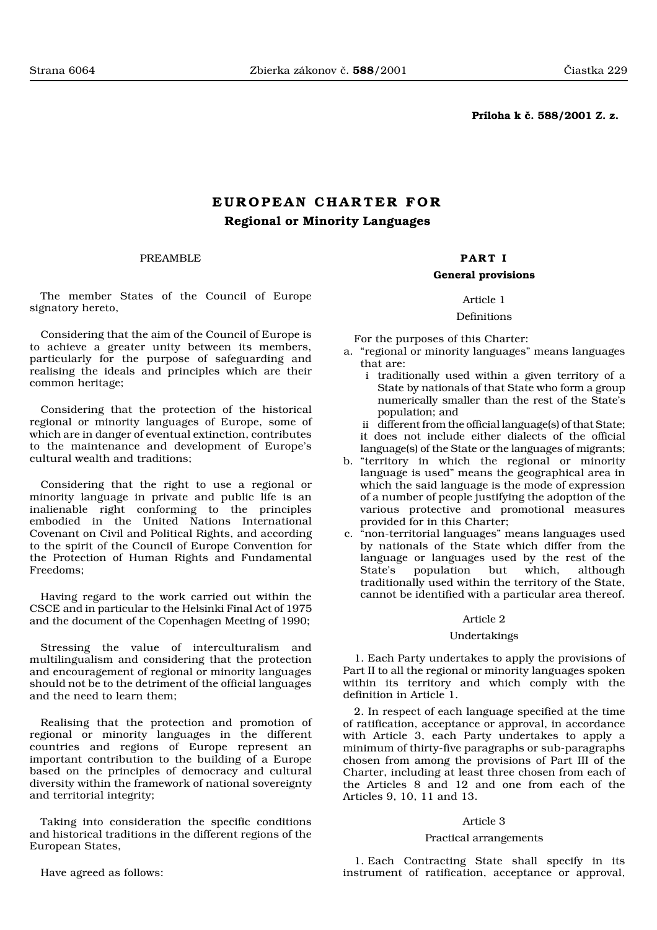**PrÌloha k Ë. 588/2001 Z. z.**

# **EUROPEAN CHARTER FOR Regional or Minority Languages**

#### PREAMBLE

The member States of the Council of Europe signatory hereto,

Considering that the aim of the Council of Europe is to achieve a greater unity between its members, particularly for the purpose of safeguarding and realising the ideals and principles which are their common heritage;

Considering that the protection of the historical regional or minority languages of Europe, some of which are in danger of eventual extinction, contributes to the maintenance and development of Europe's cultural wealth and traditions;

Considering that the right to use a regional or minority language in private and public life is an inalienable right conforming to the principles embodied in the United Nations International Covenant on Civil and Political Rights, and according to the spirit of the Council of Europe Convention for the Protection of Human Rights and Fundamental Freedoms;

Having regard to the work carried out within the CSCE and in particular to the Helsinki Final Act of 1975 and the document of the Copenhagen Meeting of 1990;

Stressing the value of interculturalism and multilingualism and considering that the protection and encouragement of regional or minority languages should not be to the detriment of the official languages and the need to learn them;

Realising that the protection and promotion of regional or minority languages in the different countries and regions of Europe represent an important contribution to the building of a Europe based on the principles of democracy and cultural diversity within the framework of national sovereignty and territorial integrity;

Taking into consideration the specific conditions and historical traditions in the different regions of the European States,

Have agreed as follows:

## **PART I**

#### **General provisions**

#### Article 1

#### Definitions

For the purposes of this Charter:

- a. "regional or minority languages" means languages that are:
	- i traditionally used within a given territory of a State by nationals of that State who form a group numerically smaller than the rest of the State's population; and
	- ii different from the official language(s) of that State; it does not include either dialects of the official language(s) of the State or the languages of migrants;
- b. "territory in which the regional or minority language is used" means the geographical area in which the said language is the mode of expression of a number of people justifying the adoption of the various protective and promotional measures provided for in this Charter;
- c. "non-territorial languages" means languages used by nationals of the State which differ from the language or languages used by the rest of the State's population but which, although traditionally used within the territory of the State, cannot be identified with a particular area thereof.

#### Article 2

#### Undertakings

1. Each Party undertakes to apply the provisions of Part II to all the regional or minority languages spoken within its territory and which comply with the definition in Article 1.

2. In respect of each language specified at the time of ratification, acceptance or approval, in accordance with Article 3, each Party undertakes to apply a minimum of thirty-five paragraphs or sub-paragraphs chosen from among the provisions of Part III of the Charter, including at least three chosen from each of the Articles 8 and 12 and one from each of the Articles 9, 10, 11 and 13.

#### Article 3

#### Practical arrangements

1. Each Contracting State shall specify in its instrument of ratification, acceptance or approval,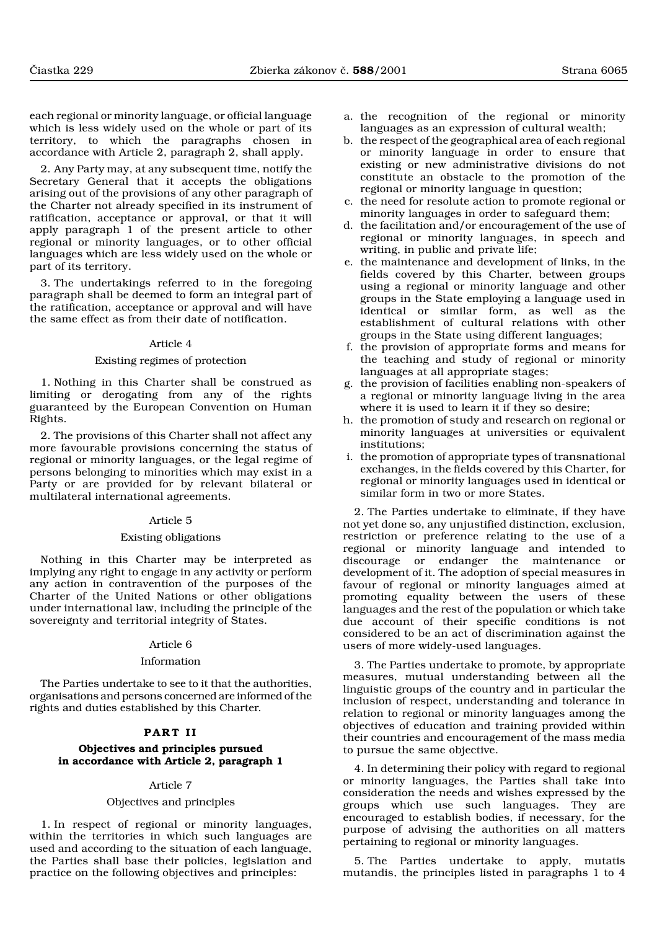each regional or minority language, or official language which is less widely used on the whole or part of its territory, to which the paragraphs chosen in accordance with Article 2, paragraph 2, shall apply.

2. Any Party may, at any subsequent time, notify the Secretary General that it accepts the obligations arising out of the provisions of any other paragraph of the Charter not already specified in its instrument of ratification, acceptance or approval, or that it will apply paragraph 1 of the present article to other regional or minority languages, or to other official languages which are less widely used on the whole or part of its territory.

3. The undertakings referred to in the foregoing paragraph shall be deemed to form an integral part of the ratification, acceptance or approval and will have the same effect as from their date of notification.

#### Article 4

## Existing regimes of protection

1. Nothing in this Charter shall be construed as limiting or derogating from any of the rights guaranteed by the European Convention on Human Rights.

2. The provisions of this Charter shall not affect any more favourable provisions concerning the status of regional or minority languages, or the legal regime of persons belonging to minorities which may exist in a Party or are provided for by relevant bilateral or multilateral international agreements.

#### Article 5

# Existing obligations

Nothing in this Charter may be interpreted as implying any right to engage in any activity or perform any action in contravention of the purposes of the Charter of the United Nations or other obligations under international law, including the principle of the sovereignty and territorial integrity of States.

## Article 6

## Information

The Parties undertake to see to it that the authorities, organisations and persons concerned are informed of the rights and duties established by this Charter.

## **PART II**

# **Objectives and principles pursued in accordance with Article 2, paragraph 1**

## Article 7

## Objectives and principles

1. In respect of regional or minority languages, within the territories in which such languages are used and according to the situation of each language, the Parties shall base their policies, legislation and practice on the following objectives and principles:

- a. the recognition of the regional or minority languages as an expression of cultural wealth;
- b. the respect of the geographical area of each regional or minority language in order to ensure that existing or new administrative divisions do not constitute an obstacle to the promotion of the regional or minority language in question;
- c. the need for resolute action to promote regional or minority languages in order to safeguard them;
- d. the facilitation and/or encouragement of the use of regional or minority languages, in speech and writing, in public and private life;
- e. the maintenance and development of links, in the fields covered by this Charter, between groups using a regional or minority language and other groups in the State employing a language used in identical or similar form, as well as the establishment of cultural relations with other groups in the State using different languages;
- f. the provision of appropriate forms and means for the teaching and study of regional or minority languages at all appropriate stages;
- g. the provision of facilities enabling non-speakers of a regional or minority language living in the area where it is used to learn it if they so desire;
- h. the promotion of study and research on regional or minority languages at universities or equivalent institutions;
- i. the promotion of appropriate types of transnational exchanges, in the fields covered by this Charter, for regional or minority languages used in identical or similar form in two or more States.

2. The Parties undertake to eliminate, if they have not yet done so, any unjustified distinction, exclusion, restriction or preference relating to the use of a regional or minority language and intended to discourage or endanger the maintenance or development of it. The adoption of special measures in favour of regional or minority languages aimed at promoting equality between the users of these languages and the rest of the population or which take due account of their specific conditions is not considered to be an act of discrimination against the users of more widely-used languages.

3. The Parties undertake to promote, by appropriate measures, mutual understanding between all the linguistic groups of the country and in particular the inclusion of respect, understanding and tolerance in relation to regional or minority languages among the objectives of education and training provided within their countries and encouragement of the mass media to pursue the same objective.

4. In determining their policy with regard to regional or minority languages, the Parties shall take into consideration the needs and wishes expressed by the groups which use such languages. They are encouraged to establish bodies, if necessary, for the purpose of advising the authorities on all matters pertaining to regional or minority languages.

5. The Parties undertake to apply, mutatis mutandis, the principles listed in paragraphs 1 to 4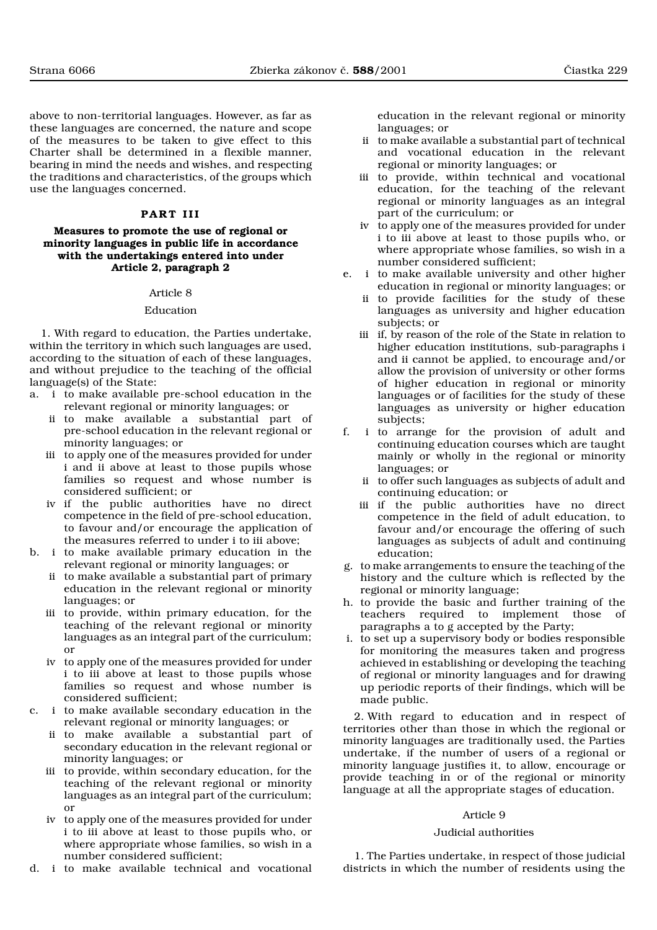above to non-territorial languages. However, as far as these languages are concerned, the nature and scope of the measures to be taken to give effect to this Charter shall be determined in a flexible manner, bearing in mind the needs and wishes, and respecting the traditions and characteristics, of the groups which use the languages concerned.

## **PART III**

# **Measures to promote the use of regional or minority languages in public life in accordance with the undertakings entered into under Article 2, paragraph 2**

## Article 8

## Education

1. With regard to education, the Parties undertake, within the territory in which such languages are used, according to the situation of each of these languages, and without prejudice to the teaching of the official language(s) of the State:

- a. i to make available pre-school education in the relevant regional or minority languages; or
	- ii to make available a substantial part of pre-school education in the relevant regional or minority languages; or
	- iii to apply one of the measures provided for under i and ii above at least to those pupils whose families so request and whose number is considered sufficient; or
	- iv if the public authorities have no direct competence in the field of pre-school education, to favour and/or encourage the application of the measures referred to under i to iii above;
- b. i to make available primary education in the relevant regional or minority languages; or
	- ii to make available a substantial part of primary education in the relevant regional or minority languages; or
	- iii to provide, within primary education, for the teaching of the relevant regional or minority languages as an integral part of the curriculum; or
	- iv to apply one of the measures provided for under i to iii above at least to those pupils whose families so request and whose number is considered sufficient;
- c. i to make available secondary education in the relevant regional or minority languages; or
	- ii to make available a substantial part of secondary education in the relevant regional or minority languages; or
	- iii to provide, within secondary education, for the teaching of the relevant regional or minority languages as an integral part of the curriculum; or
	- iv to apply one of the measures provided for under i to iii above at least to those pupils who, or where appropriate whose families, so wish in a number considered sufficient;
- d. i to make available technical and vocational

education in the relevant regional or minority languages; or

- ii to make available a substantial part of technical and vocational education in the relevant regional or minority languages; or
- iii to provide, within technical and vocational education, for the teaching of the relevant regional or minority languages as an integral part of the curriculum; or
- iv to apply one of the measures provided for under i to iii above at least to those pupils who, or where appropriate whose families, so wish in a number considered sufficient;
- e. i to make available university and other higher education in regional or minority languages; or
	- ii to provide facilities for the study of these languages as university and higher education subjects; or
	- iii if, by reason of the role of the State in relation to higher education institutions, sub-paragraphs i and ii cannot be applied, to encourage and/or allow the provision of university or other forms of higher education in regional or minority languages or of facilities for the study of these languages as university or higher education subjects;
- f. i to arrange for the provision of adult and continuing education courses which are taught mainly or wholly in the regional or minority languages; or
	- ii to offer such languages as subjects of adult and continuing education; or
	- iii if the public authorities have no direct competence in the field of adult education, to favour and/or encourage the offering of such languages as subjects of adult and continuing education;
- g. to make arrangements to ensure the teaching of the history and the culture which is reflected by the regional or minority language;
- h. to provide the basic and further training of the teachers required to implement those of paragraphs a to g accepted by the Party;
- i. to set up a supervisory body or bodies responsible for monitoring the measures taken and progress achieved in establishing or developing the teaching of regional or minority languages and for drawing up periodic reports of their findings, which will be made public.

2. With regard to education and in respect of territories other than those in which the regional or minority languages are traditionally used, the Parties undertake, if the number of users of a regional or minority language justifies it, to allow, encourage or provide teaching in or of the regional or minority language at all the appropriate stages of education.

## Article 9

# Judicial authorities

1. The Parties undertake, in respect of those judicial districts in which the number of residents using the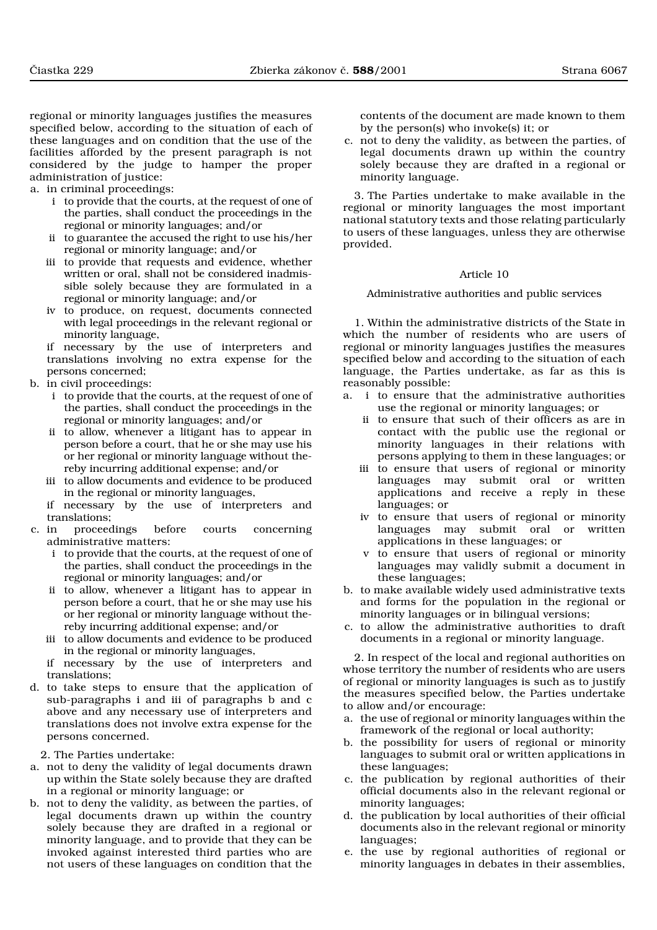regional or minority languages justifies the measures specified below, according to the situation of each of these languages and on condition that the use of the facilities afforded by the present paragraph is not considered by the judge to hamper the proper administration of justice:

a. in criminal proceedings:

- i to provide that the courts, at the request of one of the parties, shall conduct the proceedings in the regional or minority languages; and/or
- ii to guarantee the accused the right to use his/her regional or minority language; and/or
- iii to provide that requests and evidence, whether written or oral, shall not be considered inadmissible solely because they are formulated in a regional or minority language; and/or
- iv to produce, on request, documents connected with legal proceedings in the relevant regional or minority language,

if necessary by the use of interpreters and translations involving no extra expense for the persons concerned;

- b. in civil proceedings:
	- i to provide that the courts, at the request of one of the parties, shall conduct the proceedings in the regional or minority languages; and/or
	- ii to allow, whenever a litigant has to appear in person before a court, that he or she may use his or her regional or minority language without thereby incurring additional expense; and/or
	- iii to allow documents and evidence to be produced in the regional or minority languages,

if necessary by the use of interpreters and translations;

- c. in proceedings before courts concerning administrative matters:
	- i to provide that the courts, at the request of one of the parties, shall conduct the proceedings in the regional or minority languages; and/or
	- ii to allow, whenever a litigant has to appear in person before a court, that he or she may use his or her regional or minority language without thereby incurring additional expense; and/or
	- iii to allow documents and evidence to be produced in the regional or minority languages, if necessary by the use of interpreters and

translations;

d. to take steps to ensure that the application of sub-paragraphs i and iii of paragraphs b and c above and any necessary use of interpreters and translations does not involve extra expense for the persons concerned.

2. The Parties undertake:

- a. not to deny the validity of legal documents drawn up within the State solely because they are drafted in a regional or minority language; or
- b. not to deny the validity, as between the parties, of legal documents drawn up within the country solely because they are drafted in a regional or minority language, and to provide that they can be invoked against interested third parties who are not users of these languages on condition that the

contents of the document are made known to them by the person(s) who invoke(s) it; or

c. not to deny the validity, as between the parties, of legal documents drawn up within the country solely because they are drafted in a regional or minority language.

3. The Parties undertake to make available in the regional or minority languages the most important national statutory texts and those relating particularly to users of these languages, unless they are otherwise provided.

## Article 10

#### Administrative authorities and public services

1. Within the administrative districts of the State in which the number of residents who are users of regional or minority languages justifies the measures specified below and according to the situation of each language, the Parties undertake, as far as this is reasonably possible:

- a. i to ensure that the administrative authorities use the regional or minority languages; or
	- ii to ensure that such of their officers as are in contact with the public use the regional or minority languages in their relations with persons applying to them in these languages; or
	- iii to ensure that users of regional or minority languages may submit oral or written applications and receive a reply in these languages; or
	- iv to ensure that users of regional or minority languages may submit oral or written applications in these languages; or
	- v to ensure that users of regional or minority languages may validly submit a document in these languages;
- b. to make available widely used administrative texts and forms for the population in the regional or minority languages or in bilingual versions;
- c. to allow the administrative authorities to draft documents in a regional or minority language.

2. In respect of the local and regional authorities on whose territory the number of residents who are users of regional or minority languages is such as to justify the measures specified below, the Parties undertake to allow and/or encourage:

- a. the use of regional or minority languages within the framework of the regional or local authority;
- b. the possibility for users of regional or minority languages to submit oral or written applications in these languages;
- c. the publication by regional authorities of their official documents also in the relevant regional or minority languages;
- d. the publication by local authorities of their official documents also in the relevant regional or minority languages;
- e. the use by regional authorities of regional or minority languages in debates in their assemblies,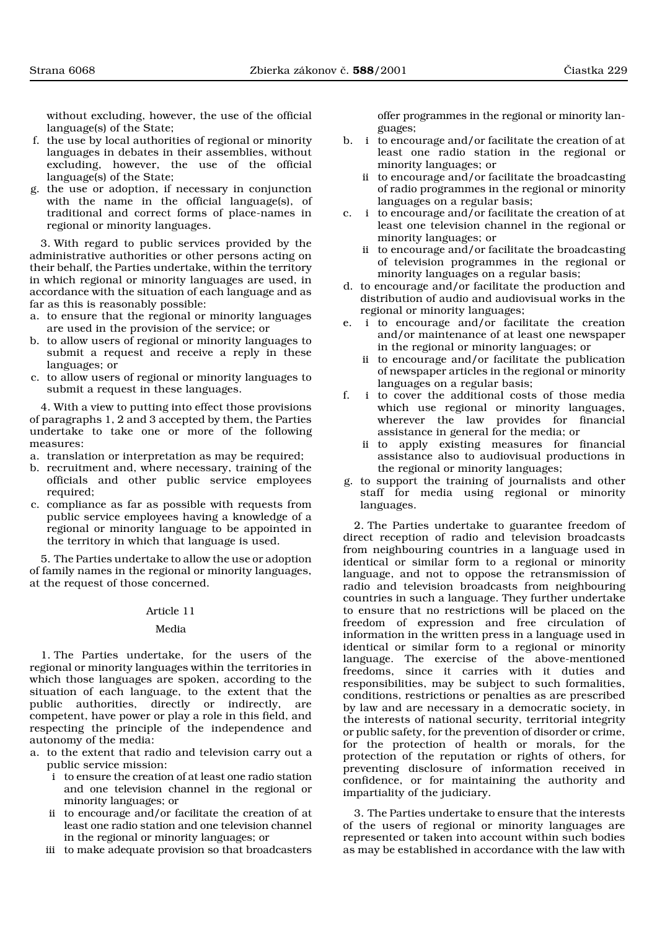without excluding, however, the use of the official language(s) of the State;

- f. the use by local authorities of regional or minority languages in debates in their assemblies, without excluding, however, the use of the official language(s) of the State;
- g. the use or adoption, if necessary in conjunction with the name in the official language(s), of traditional and correct forms of place-names in regional or minority languages.

3. With regard to public services provided by the administrative authorities or other persons acting on their behalf, the Parties undertake, within the territory in which regional or minority languages are used, in accordance with the situation of each language and as far as this is reasonably possible:

- a. to ensure that the regional or minority languages are used in the provision of the service; or
- b. to allow users of regional or minority languages to submit a request and receive a reply in these languages; or
- c. to allow users of regional or minority languages to submit a request in these languages.

4. With a view to putting into effect those provisions of paragraphs 1, 2 and 3 accepted by them, the Parties undertake to take one or more of the following measures:

- a. translation or interpretation as may be required;
- b. recruitment and, where necessary, training of the officials and other public service employees required;
- c. compliance as far as possible with requests from public service employees having a knowledge of a regional or minority language to be appointed in the territory in which that language is used.

5. The Parties undertake to allow the use or adoption of family names in the regional or minority languages, at the request of those concerned.

#### Article 11

#### Media

1. The Parties undertake, for the users of the regional or minority languages within the territories in which those languages are spoken, according to the situation of each language, to the extent that the public authorities, directly or indirectly, are competent, have power or play a role in this field, and respecting the principle of the independence and autonomy of the media:

- a. to the extent that radio and television carry out a public service mission:
	- i to ensure the creation of at least one radio station and one television channel in the regional or minority languages; or
	- ii to encourage and/or facilitate the creation of at least one radio station and one television channel in the regional or minority languages; or
	- iii to make adequate provision so that broadcasters

offer programmes in the regional or minority languages;

- b. i to encourage and/or facilitate the creation of at least one radio station in the regional or minority languages; or
	- ii to encourage and/or facilitate the broadcasting of radio programmes in the regional or minority languages on a regular basis;
- c. i to encourage and/or facilitate the creation of at least one television channel in the regional or minority languages; or
	- ii to encourage and/or facilitate the broadcasting of television programmes in the regional or minority languages on a regular basis;
- d. to encourage and/or facilitate the production and distribution of audio and audiovisual works in the regional or minority languages;
- e. i to encourage and/or facilitate the creation and/or maintenance of at least one newspaper in the regional or minority languages; or
	- ii to encourage and/or facilitate the publication of newspaper articles in the regional or minority languages on a regular basis;
- f. i to cover the additional costs of those media which use regional or minority languages, wherever the law provides for financial assistance in general for the media; or
	- ii to apply existing measures for financial assistance also to audiovisual productions in the regional or minority languages;
- g. to support the training of journalists and other staff for media using regional or minority languages.

2. The Parties undertake to guarantee freedom of direct reception of radio and television broadcasts from neighbouring countries in a language used in identical or similar form to a regional or minority language, and not to oppose the retransmission of radio and television broadcasts from neighbouring countries in such a language. They further undertake to ensure that no restrictions will be placed on the freedom of expression and free circulation of information in the written press in a language used in identical or similar form to a regional or minority language. The exercise of the above-mentioned freedoms, since it carries with it duties and responsibilities, may be subject to such formalities, conditions, restrictions or penalties as are prescribed by law and are necessary in a democratic society, in the interests of national security, territorial integrity or public safety, for the prevention of disorder or crime, for the protection of health or morals, for the protection of the reputation or rights of others, for preventing disclosure of information received in confidence, or for maintaining the authority and impartiality of the judiciary.

3. The Parties undertake to ensure that the interests of the users of regional or minority languages are represented or taken into account within such bodies as may be established in accordance with the law with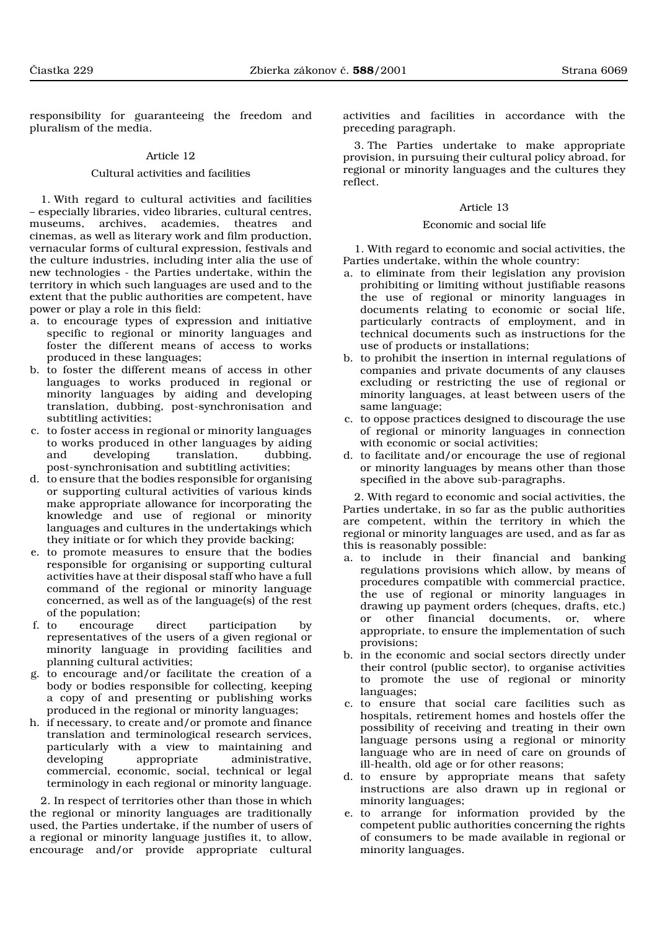responsibility for guaranteeing the freedom and pluralism of the media.

## Article 12

## Cultural activities and facilities

1. With regard to cultural activities and facilities - especially libraries, video libraries, cultural centres, museums, archives, academies, theatres and cinemas, as well as literary work and film production, vernacular forms of cultural expression, festivals and the culture industries, including inter alia the use of new technologies - the Parties undertake, within the territory in which such languages are used and to the extent that the public authorities are competent, have power or play a role in this field:

- a. to encourage types of expression and initiative specific to regional or minority languages and foster the different means of access to works produced in these languages;
- b. to foster the different means of access in other languages to works produced in regional or minority languages by aiding and developing translation, dubbing, post-synchronisation and subtitling activities;
- c. to foster access in regional or minority languages to works produced in other languages by aiding and developing translation, dubbing, post-synchronisation and subtitling activities;
- d. to ensure that the bodies responsible for organising or supporting cultural activities of various kinds make appropriate allowance for incorporating the knowledge and use of regional or minority languages and cultures in the undertakings which they initiate or for which they provide backing;
- e. to promote measures to ensure that the bodies responsible for organising or supporting cultural activities have at their disposal staff who have a full command of the regional or minority language concerned, as well as of the language(s) of the rest of the population;<br>f to encourage
- encourage direct participation by representatives of the users of a given regional or minority language in providing facilities and planning cultural activities;
- g. to encourage and/or facilitate the creation of a body or bodies responsible for collecting, keeping a copy of and presenting or publishing works produced in the regional or minority languages;
- h. if necessary, to create and/or promote and finance translation and terminological research services, particularly with a view to maintaining and developing appropriate administrative, commercial, economic, social, technical or legal terminology in each regional or minority language.

2. In respect of territories other than those in which the regional or minority languages are traditionally used, the Parties undertake, if the number of users of a regional or minority language justifies it, to allow, encourage and/or provide appropriate cultural

activities and facilities in accordance with the preceding paragraph.

3. The Parties undertake to make appropriate provision, in pursuing their cultural policy abroad, for regional or minority languages and the cultures they reflect.

#### Article 13

#### Economic and social life

1. With regard to economic and social activities, the Parties undertake, within the whole country:

- a. to eliminate from their legislation any provision prohibiting or limiting without justifiable reasons the use of regional or minority languages in documents relating to economic or social life, particularly contracts of employment, and in technical documents such as instructions for the use of products or installations;
- b. to prohibit the insertion in internal regulations of companies and private documents of any clauses excluding or restricting the use of regional or minority languages, at least between users of the same language;
- c. to oppose practices designed to discourage the use of regional or minority languages in connection with economic or social activities;
- d. to facilitate and/or encourage the use of regional or minority languages by means other than those specified in the above sub-paragraphs.

2. With regard to economic and social activities, the Parties undertake, in so far as the public authorities are competent, within the territory in which the regional or minority languages are used, and as far as this is reasonably possible:

- a. to include in their financial and banking regulations provisions which allow, by means of procedures compatible with commercial practice, the use of regional or minority languages in drawing up payment orders (cheques, drafts, etc.) or other financial documents, or, where appropriate, to ensure the implementation of such provisions;
- b. in the economic and social sectors directly under their control (public sector), to organise activities to promote the use of regional or minority languages;
- c. to ensure that social care facilities such as hospitals, retirement homes and hostels offer the possibility of receiving and treating in their own language persons using a regional or minority language who are in need of care on grounds of ill-health, old age or for other reasons;
- d. to ensure by appropriate means that safety instructions are also drawn up in regional or minority languages;
- e. to arrange for information provided by the competent public authorities concerning the rights of consumers to be made available in regional or minority languages.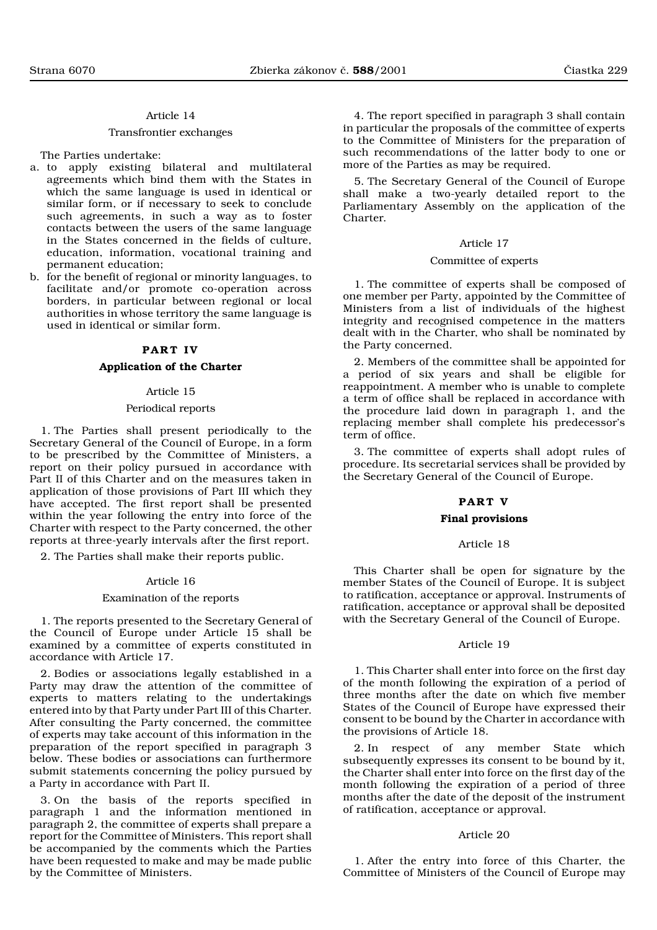# Article 14

## Transfrontier exchanges

The Parties undertake:

- a. to apply existing bilateral and multilateral agreements which bind them with the States in which the same language is used in identical or similar form, or if necessary to seek to conclude such agreements, in such a way as to foster contacts between the users of the same language in the States concerned in the fields of culture, education, information, vocational training and permanent education;
- b. for the benefit of regional or minority languages, to facilitate and/or promote co-operation across borders, in particular between regional or local authorities in whose territory the same language is used in identical or similar form.

#### **PART IV**

# **Application of the Charter**

#### Article 15

#### Periodical reports

1. The Parties shall present periodically to the Secretary General of the Council of Europe, in a form to be prescribed by the Committee of Ministers, a report on their policy pursued in accordance with Part II of this Charter and on the measures taken in application of those provisions of Part III which they have accepted. The first report shall be presented within the year following the entry into force of the Charter with respect to the Party concerned, the other reports at three-yearly intervals after the first report.

2. The Parties shall make their reports public.

#### Article 16

#### Examination of the reports

1. The reports presented to the Secretary General of the Council of Europe under Article 15 shall be examined by a committee of experts constituted in accordance with Article 17.

2. Bodies or associations legally established in a Party may draw the attention of the committee of experts to matters relating to the undertakings entered into by that Party under Part III of this Charter. After consulting the Party concerned, the committee of experts may take account of this information in the preparation of the report specified in paragraph 3 below. These bodies or associations can furthermore submit statements concerning the policy pursued by a Party in accordance with Part II.

3. On the basis of the reports specified in paragraph 1 and the information mentioned in paragraph 2, the committee of experts shall prepare a report for the Committee of Ministers. This report shall be accompanied by the comments which the Parties have been requested to make and may be made public by the Committee of Ministers.

4. The report specified in paragraph 3 shall contain in particular the proposals of the committee of experts to the Committee of Ministers for the preparation of such recommendations of the latter body to one or more of the Parties as may be required.

5. The Secretary General of the Council of Europe shall make a two-yearly detailed report to the Parliamentary Assembly on the application of the Charter.

#### Article 17

#### Committee of experts

1. The committee of experts shall be composed of one member per Party, appointed by the Committee of Ministers from a list of individuals of the highest integrity and recognised competence in the matters dealt with in the Charter, who shall be nominated by the Party concerned.

2. Members of the committee shall be appointed for a period of six years and shall be eligible for reappointment. A member who is unable to complete a term of office shall be replaced in accordance with the procedure laid down in paragraph 1, and the replacing member shall complete his predecessor's term of office.

3. The committee of experts shall adopt rules of procedure. Its secretarial services shall be provided by the Secretary General of the Council of Europe.

#### **PART V**

#### **Final provisions**

#### Article 18

This Charter shall be open for signature by the member States of the Council of Europe. It is subject to ratification, acceptance or approval. Instruments of ratification, acceptance or approval shall be deposited with the Secretary General of the Council of Europe.

## Article 19

1. This Charter shall enter into force on the first day of the month following the expiration of a period of three months after the date on which five member States of the Council of Europe have expressed their consent to be bound by the Charter in accordance with the provisions of Article 18.

2. In respect of any member State which subsequently expresses its consent to be bound by it, the Charter shall enter into force on the first day of the month following the expiration of a period of three months after the date of the deposit of the instrument of ratification, acceptance or approval.

#### Article 20

1. After the entry into force of this Charter, the Committee of Ministers of the Council of Europe may